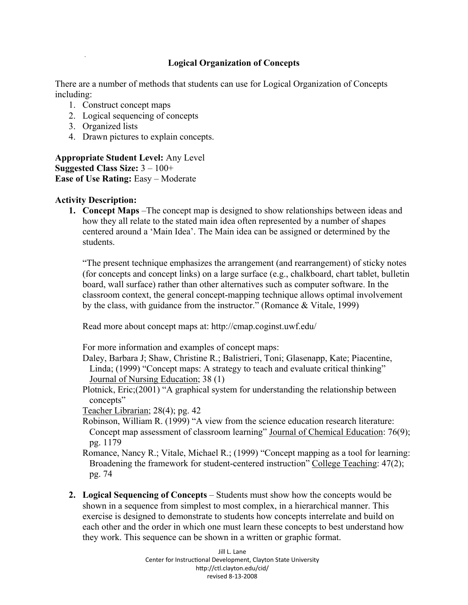## **Logical Organization of Concepts**

There are a number of methods that students can use for Logical Organization of Concepts including:

- 1. Construct concept maps
- 2. Logical sequencing of concepts
- 3. Organized lists
- 4. Drawn pictures to explain concepts.

**Appropriate Student Level:** Any Level **Suggested Class Size:** 3 – 100+ **Ease of Use Rating: Easy – Moderate** 

## **Activity Description:**

**1. Concept Maps** –The concept map is designed to show relationships between ideas and how they all relate to the stated main idea often represented by a number of shapes centered around a 'Main Idea'. The Main idea can be assigned or determined by the students.

"The present technique emphasizes the arrangement (and rearrangement) of sticky notes (for concepts and concept links) on a large surface (e.g., chalkboard, chart tablet, bulletin board, wall surface) rather than other alternatives such as computer software. In the classroom context, the general concept-mapping technique allows optimal involvement by the class, with guidance from the instructor." (Romance & Vitale, 1999)

Read more about concept maps at: http://cmap.coginst.uwf.edu/

For more information and examples of concept maps:

Daley, Barbara J; Shaw, Christine R.; Balistrieri, Toni; Glasenapp, Kate; Piacentine, Linda; (1999) "Concept maps: A strategy to teach and evaluate critical thinking" Journal of Nursing Education; 38 (1)

Plotnick, Eric;(2001) "A graphical system for understanding the relationship between concepts"

Teacher Librarian; 28(4); pg. 42

Robinson, William R. (1999) "A view from the science education research literature: Concept map assessment of classroom learning" Journal of Chemical Education: 76(9); pg. 1179

Romance, Nancy R.; Vitale, Michael R.; (1999) "Concept mapping as a tool for learning: Broadening the framework for student-centered instruction" College Teaching: 47(2); pg. 74

**2. Logical Sequencing of Concepts** – Students must show how the concepts would be shown in a sequence from simplest to most complex, in a hierarchical manner. This exercise is designed to demonstrate to students how concepts interrelate and build on each other and the order in which one must learn these concepts to best understand how they work. This sequence can be shown in a written or graphic format.

> Jill L. Lane Center for Instructional Development, Clayton State University http://ctl.clayton.edu/cid/ revised 8-13-2008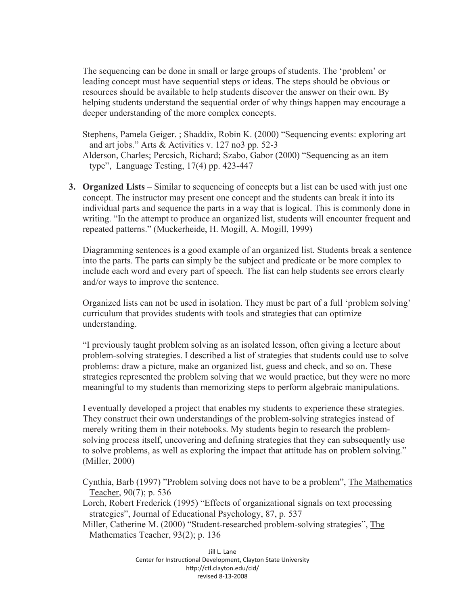The sequencing can be done in small or large groups of students. The 'problem' or leading concept must have sequential steps or ideas. The steps should be obvious or resources should be available to help students discover the answer on their own. By helping students understand the sequential order of why things happen may encourage a deeper understanding of the more complex concepts.

Stephens, Pamela Geiger. ; Shaddix, Robin K. (2000) "Sequencing events: exploring art and art jobs." Arts & Activities v. 127 no3 pp. 52-3

Alderson, Charles; Percsich, Richard; Szabo, Gabor (2000) "Sequencing as an item type", Language Testing, 17(4) pp. 423-447

**3. Organized Lists** – Similar to sequencing of concepts but a list can be used with just one concept. The instructor may present one concept and the students can break it into its individual parts and sequence the parts in a way that is logical. This is commonly done in writing. "In the attempt to produce an organized list, students will encounter frequent and repeated patterns." (Muckerheide, H. Mogill, A. Mogill, 1999)

Diagramming sentences is a good example of an organized list. Students break a sentence into the parts. The parts can simply be the subject and predicate or be more complex to include each word and every part of speech. The list can help students see errors clearly and/or ways to improve the sentence.

Organized lists can not be used in isolation. They must be part of a full 'problem solving' curriculum that provides students with tools and strategies that can optimize understanding.

"I previously taught problem solving as an isolated lesson, often giving a lecture about problem-solving strategies. I described a list of strategies that students could use to solve problems: draw a picture, make an organized list, guess and check, and so on. These strategies represented the problem solving that we would practice, but they were no more meaningful to my students than memorizing steps to perform algebraic manipulations.

I eventually developed a project that enables my students to experience these strategies. They construct their own understandings of the problem-solving strategies instead of merely writing them in their notebooks. My students begin to research the problemsolving process itself, uncovering and defining strategies that they can subsequently use to solve problems, as well as exploring the impact that attitude has on problem solving." (Miller, 2000)

Cynthia, Barb (1997) "Problem solving does not have to be a problem", The Mathematics Teacher, 90(7); p. 536

Lorch, Robert Frederick (1995) "Effects of organizational signals on text processing strategies", Journal of Educational Psychology, 87, p. 537

Miller, Catherine M. (2000) "Student-researched problem-solving strategies", The Mathematics Teacher, 93(2); p. 136

> Jill L. Lane Center for Instructional Development, Clayton State University http://ctl.clayton.edu/cid/ revised 8-13-2008